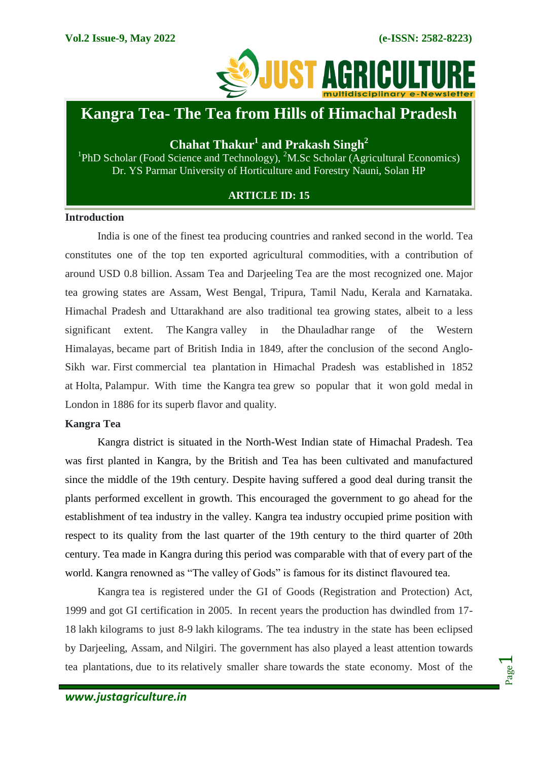

# **Kangra Tea- The Tea from Hills of Himachal Pradesh**

# **Chahat Thakur<sup>1</sup> and Prakash Singh<sup>2</sup>**

<sup>1</sup>PhD Scholar (Food Science and Technology), <sup>2</sup>M.Sc Scholar (Agricultural Economics) Dr. YS Parmar University of Horticulture and Forestry Nauni, Solan HP

# **ARTICLE ID: 15**

#### **Introduction**

India is one of the finest tea producing countries and ranked second in the world. Tea constitutes one of the top ten exported agricultural commodities, with a contribution of around USD 0.8 billion. Assam Tea and Darjeeling Tea are the most recognized one. Major tea growing states are Assam, West Bengal, Tripura, Tamil Nadu, Kerala and Karnataka. Himachal Pradesh and Uttarakhand are also traditional tea growing states, albeit to a less significant extent. The Kangra valley in the Dhauladhar range of the Western Himalayas, became part of British India in 1849, after the conclusion of the second Anglo-Sikh war. First commercial tea plantation in Himachal Pradesh was established in 1852 at Holta, Palampur. With time the Kangra tea grew so popular that it won gold medal in London in 1886 for its superb flavor and quality.

#### **Kangra Tea**

Kangra district is situated in the North-West Indian state of Himachal Pradesh. Tea was first planted in Kangra, by the British and Tea has been cultivated and manufactured since the middle of the 19th century. Despite having suffered a good deal during transit the plants performed excellent in growth. This encouraged the government to go ahead for the establishment of tea industry in the valley. Kangra tea industry occupied prime position with respect to its quality from the last quarter of the 19th century to the third quarter of 20th century. Tea made in Kangra during this period was comparable with that of every part of the world. Kangra renowned as "The valley of Gods" is famous for its distinct flavoured tea.

Kangra tea is registered under the GI of Goods (Registration and Protection) Act, 1999 and got GI certification in 2005. In recent years the production has dwindled from 17- 18 lakh kilograms to just 8-9 lakh kilograms. The tea industry in the state has been eclipsed by Darjeeling, Assam, and Nilgiri. The government has also played a least attention towards tea plantations, due to its relatively smaller share towards the state economy. Most of the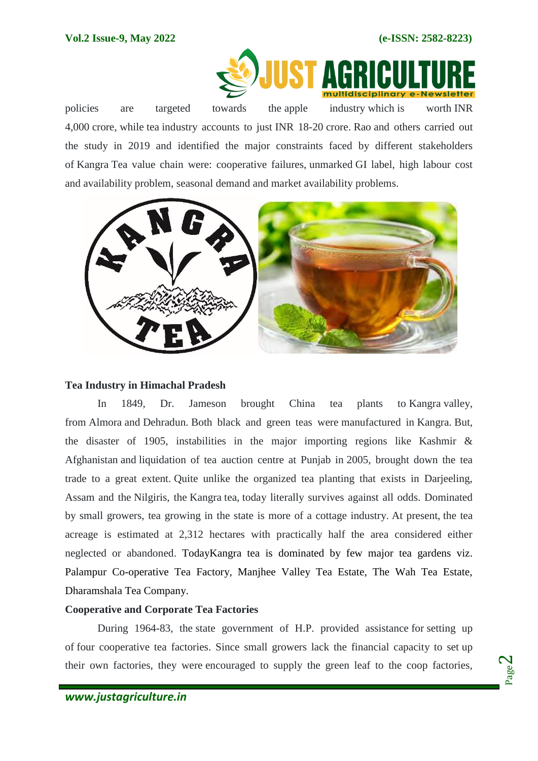

policies policies are targeted towards the apple industry which is worth INR 4,000 crore, while tea industry accounts to just INR 18-20 crore. Rao and others carried out the study in 2019 and identified the major constraints faced by different stakeholders of Kangra Tea value chain were: cooperative failures, unmarked GI label, high labour cost and availability problem, seasonal demand and market availability problems.



## **Tea Industry in Himachal Pradesh**

In 1849, Dr. Jameson brought China tea plants to Kangra valley, from Almora and Dehradun. Both black and green teas were manufactured in Kangra. But, the disaster of 1905, instabilities in the major importing regions like Kashmir & Afghanistan and liquidation of tea auction centre at Punjab in 2005, brought down the tea trade to a great extent. Quite unlike the organized tea planting that exists in Darjeeling, Assam and the Nilgiris, the Kangra tea, today literally survives against all odds. Dominated by small growers, tea growing in the state is more of a cottage industry. At present, the tea acreage is estimated at 2,312 hectares with practically half the area considered either neglected or abandoned. TodayKangra tea is dominated by few major tea gardens viz. Palampur Co-operative Tea Factory, Manjhee Valley Tea Estate, The Wah Tea Estate, Dharamshala Tea Company.

# **Cooperative and Corporate Tea Factories**

During 1964-83, the state government of H.P. provided assistance for setting up of four cooperative tea factories. Since small growers lack the financial capacity to set up their own factories, they were encouraged to supply the green leaf to the coop factories,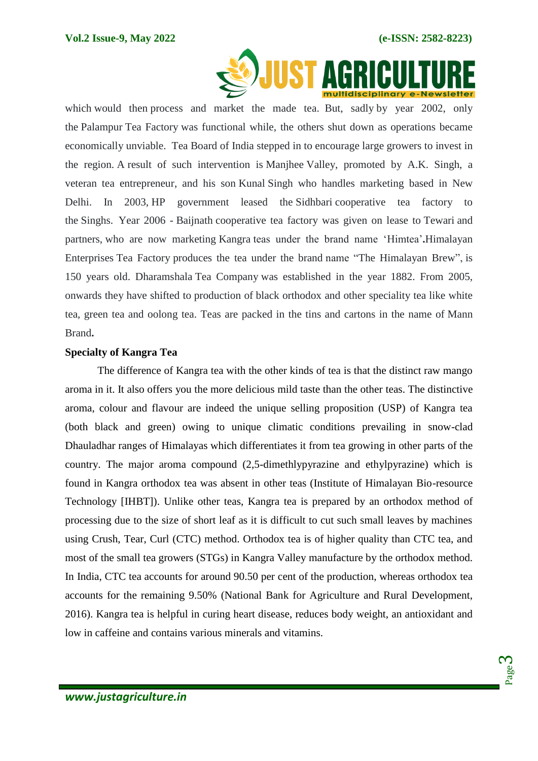

which would then process and market the made tea. But, sadly by year 2002, only the Palampur Tea Factory was functional while, the others shut down as operations became economically unviable. Tea Board of India stepped in to encourage large growers to invest in the region. A result of such intervention is Manjhee Valley, promoted by A.K. Singh, a veteran tea entrepreneur, and his son Kunal Singh who handles marketing based in New Delhi. In 2003, HP government leased the Sidhbari cooperative tea factory to the Singhs. Year 2006 - Baijnath cooperative tea factory was given on lease to Tewari and partners, who are now marketing Kangra teas under the brand name "Himtea"**.**Himalayan Enterprises Tea Factory produces the tea under the brand name "The Himalayan Brew", is 150 years old. Dharamshala Tea Company was established in the year 1882. From 2005, onwards they have shifted to production of black orthodox and other speciality tea like white tea, green tea and oolong tea. Teas are packed in the tins and cartons in the name of Mann Brand**.**

#### **Specialty of Kangra Tea**

The difference of Kangra tea with the other kinds of tea is that the distinct raw mango aroma in it. It also offers you the more delicious mild taste than the other teas. The distinctive aroma, colour and flavour are indeed the unique selling proposition (USP) of Kangra tea (both black and green) owing to unique climatic conditions prevailing in snow-clad Dhauladhar ranges of Himalayas which differentiates it from tea growing in other parts of the country. The major aroma compound (2,5-dimethlypyrazine and ethylpyrazine) which is found in Kangra orthodox tea was absent in other teas (Institute of Himalayan Bio-resource Technology [IHBT]). Unlike other teas, Kangra tea is prepared by an orthodox method of processing due to the size of short leaf as it is difficult to cut such small leaves by machines using Crush, Tear, Curl (CTC) method. Orthodox tea is of higher quality than CTC tea, and most of the small tea growers (STGs) in Kangra Valley manufacture by the orthodox method. In India, CTC tea accounts for around 90.50 per cent of the production, whereas orthodox tea accounts for the remaining 9.50% (National Bank for Agriculture and Rural Development, 2016). Kangra tea is helpful in curing heart disease, reduces body weight, an antioxidant and low in caffeine and contains various minerals and vitamins.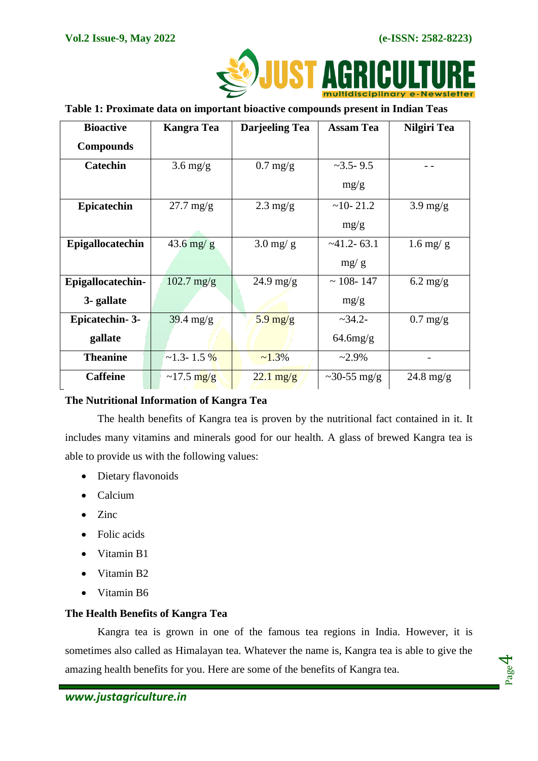

## **Table 1: Proximate data on important bioactive compounds present in Indian Teas**

| <b>Bioactive</b>      | Kangra Tea           | <b>Darjeeling Tea</b>            | <b>Assam Tea</b>    | Nilgiri Tea         |
|-----------------------|----------------------|----------------------------------|---------------------|---------------------|
| <b>Compounds</b>      |                      |                                  |                     |                     |
| <b>Catechin</b>       | $3.6 \text{ mg/g}$   | $0.7 \text{ mg/g}$               | $\approx$ 3.5 - 9.5 |                     |
|                       |                      |                                  | mg/g                |                     |
| <b>Epicatechin</b>    | $27.7$ mg/g          | $2.3 \text{ mg/g}$               | $~10 - 21.2$        | $3.9 \text{ mg/g}$  |
|                       |                      |                                  | mg/g                |                     |
| Epigallocatechin      | $43.6$ mg/ g         | $3.0$ mg/ g                      | $~241.2 - 63.1$     | $1.6$ mg/ g         |
|                       |                      |                                  | mg/g                |                     |
| Epigallocatechin-     | $102.7 \text{ mg/g}$ | $24.9 \text{ mg/g}$              | $\sim$ 108-147      | $6.2 \text{ mg/g}$  |
| 3- gallate            |                      |                                  | mg/g                |                     |
| <b>Epicatechin-3-</b> | $39.4 \text{ mg/g}$  | $5.9 \frac{\text{mg}}{\text{g}}$ | $~2 - 34.2 -$       | $0.7 \text{ mg/g}$  |
| gallate               |                      |                                  | $64.6$ mg/g         |                     |
| <b>Theanine</b>       | $\sim$ 1.3-1.5 %     | $~1.3\%$                         | $~2.9\%$            |                     |
| <b>Caffeine</b>       | $\sim$ 17.5 mg/g     | $22.1 \text{ mg/g}$              | $\sim$ 30-55 mg/g   | $24.8 \text{ mg/g}$ |

# **The Nutritional Information of Kangra Tea**

The health benefits of Kangra tea is proven by the nutritional fact contained in it. It includes many vitamins and minerals good for our health. A glass of brewed Kangra tea is able to provide us with the following values:

- Dietary flavonoids
- Calcium
- Zinc
- Folic acids
- Vitamin B1
- Vitamin B2
- Vitamin B6

# **The Health Benefits of Kangra Tea**

Kangra tea is grown in one of the famous tea regions in India. However, it is sometimes also called as Himalayan tea. Whatever the name is, Kangra tea is able to give the amazing health benefits for you. Here are some of the benefits of Kangra tea.

Page  $\overline{\bf 4}$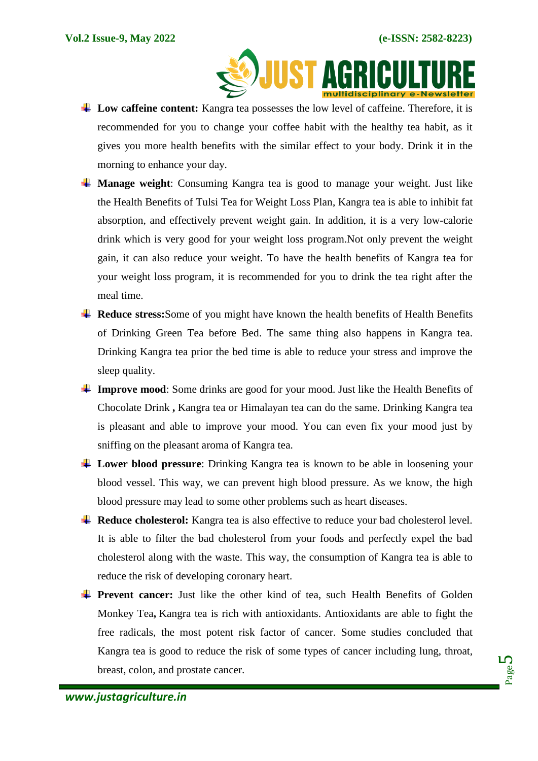

- **Low caffeine content:** Kangra tea possesses the low level of caffeine. Therefore, it is recommended for you to change your coffee habit with the healthy tea habit, as it gives you more health benefits with the similar effect to your body. Drink it in the morning to enhance your day.
- **Manage weight**: Consuming Kangra tea is good to manage your weight. Just like the [Health Benefits of Tulsi Tea for Weight Loss Plan,](https://drhealthbenefits.com/food-bevarages/beverages/tea/health-benefits-tulsi-tea-weight-loss) Kangra tea is able to inhibit fat absorption, and effectively prevent weight gain. In addition, it is a very low-calorie drink which is very good for your weight loss program.Not only prevent the weight gain, it can also reduce your weight. To have the health benefits of Kangra tea for your weight loss program, it is recommended for you to drink the tea right after the meal time.
- **Reduce stress:**Some of you might have known the health benefits of [Health Benefits](https://drhealthbenefits.com/food-bevarages/beverages/tea/health-benefits-drinking-green-tea-before-bed)  [of Drinking Green Tea before Bed.](https://drhealthbenefits.com/food-bevarages/beverages/tea/health-benefits-drinking-green-tea-before-bed) The same thing also happens in Kangra tea. Drinking Kangra tea prior the bed time is able to reduce your stress and improve the sleep quality.
- **Improve mood**: Some drinks are good for your mood. Just like the Health Benefits of [Chocolate Drink](https://drhealthbenefits.com/food-bevarages/beverages/processed-beverages/health-benefits-of-chocolate-drink) **,** Kangra tea or Himalayan tea can do the same. Drinking Kangra tea is pleasant and able to improve your mood. You can even fix your mood just by sniffing on the pleasant aroma of Kangra tea.
- **Lower blood pressure**: Drinking Kangra tea is known to be able in loosening your blood vessel. This way, we can prevent high blood pressure. As we know, the high blood pressure may lead to some other problems such as heart diseases.
- **Reduce cholesterol:** Kangra tea is also effective to reduce your bad cholesterol level. It is able to filter the bad cholesterol from your foods and perfectly expel the bad cholesterol along with the waste. This way, the consumption of Kangra tea is able to reduce the risk of developing coronary heart.
- **Prevent cancer:** Just like the other kind of tea, such Health Benefits of Golden [Monkey Tea](https://drhealthbenefits.com/food-bevarages/beverages/tea/health-benefits-golden-monkey-tea)**,** Kangra tea is rich with antioxidants. Antioxidants are able to fight the free radicals, the most potent risk factor of cancer. Some studies concluded that Kangra tea is good to reduce the risk of some types of cancer including lung, throat, breast, colon, and prostate cancer.